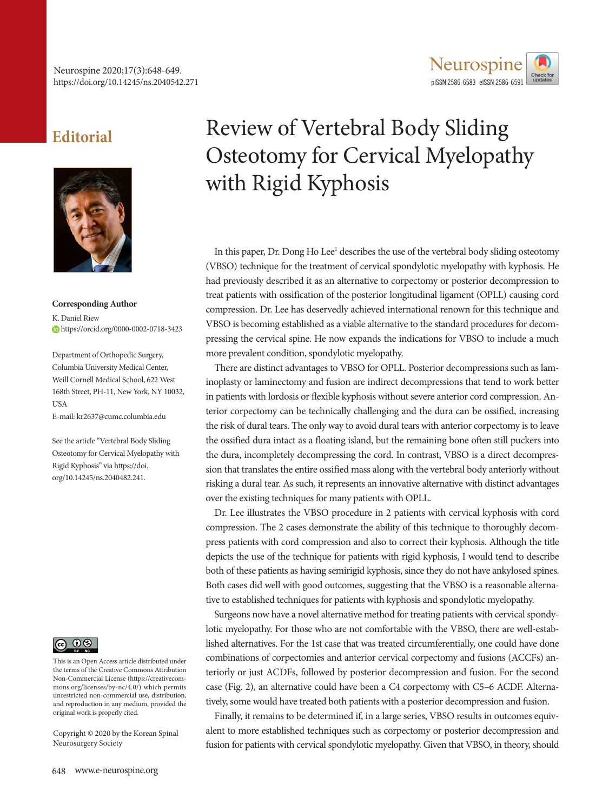

## **Editorial**



**Corresponding Author** K. Daniel Riew https://orcid.org/0000-0002-0718-3423

Department of Orthopedic Surgery, Columbia University Medical Center, Weill Cornell Medical School, 622 West 168th Street, PH-11, New York, NY 10032, **USA** 

E-mail: kr2637@cumc.columbia.edu

See the article "Vertebral Body Sliding Osteotomy for Cervical Myelopathy with Rigid Kyphosis" via https://doi. org/10.14245/ns.2040482.241.



This is an Open Access article distributed under the terms of the Creative Commons Attribution Non-Commercial License (https://creativecommons.org/licenses/by-nc/4.0/) which permits unrestricted non-commercial use, distribution, and reproduction in any medium, provided the original work is properly cited.

Copyright © 2020 by the Korean Spinal Neurosurgery Society

## Review of Vertebral Body Sliding Osteotomy for Cervical Myelopathy with Rigid Kyphosis

In this paper, Dr. Dong Ho Lee<sup>1</sup> describes the use of the vertebral body sliding osteotomy (VBSO) technique for the treatment of cervical spondylotic myelopathy with kyphosis. He had previously described it as an alternative to corpectomy or posterior decompression to treat patients with ossification of the posterior longitudinal ligament (OPLL) causing cord compression. Dr. Lee has deservedly achieved international renown for this technique and VBSO is becoming established as a viable alternative to the standard procedures for decompressing the cervical spine. He now expands the indications for VBSO to include a much more prevalent condition, spondylotic myelopathy.

There are distinct advantages to VBSO for OPLL. Posterior decompressions such as laminoplasty or laminectomy and fusion are indirect decompressions that tend to work better in patients with lordosis or flexible kyphosis without severe anterior cord compression. Anterior corpectomy can be technically challenging and the dura can be ossified, increasing the risk of dural tears. The only way to avoid dural tears with anterior corpectomy is to leave the ossified dura intact as a floating island, but the remaining bone often still puckers into the dura, incompletely decompressing the cord. In contrast, VBSO is a direct decompression that translates the entire ossified mass along with the vertebral body anteriorly without risking a dural tear. As such, it represents an innovative alternative with distinct advantages over the existing techniques for many patients with OPLL.

Dr. Lee illustrates the VBSO procedure in 2 patients with cervical kyphosis with cord compression. The 2 cases demonstrate the ability of this technique to thoroughly decompress patients with cord compression and also to correct their kyphosis. Although the title depicts the use of the technique for patients with rigid kyphosis, I would tend to describe both of these patients as having semirigid kyphosis, since they do not have ankylosed spines. Both cases did well with good outcomes, suggesting that the VBSO is a reasonable alternative to established techniques for patients with kyphosis and spondylotic myelopathy.

Surgeons now have a novel alternative method for treating patients with cervical spondylotic myelopathy. For those who are not comfortable with the VBSO, there are well-established alternatives. For the 1st case that was treated circumferentially, one could have done combinations of corpectomies and anterior cervical corpectomy and fusions (ACCFs) anteriorly or just ACDFs, followed by posterior decompression and fusion. For the second case (Fig. 2), an alternative could have been a C4 corpectomy with C5–6 ACDF. Alternatively, some would have treated both patients with a posterior decompression and fusion.

Finally, it remains to be determined if, in a large series, VBSO results in outcomes equivalent to more established techniques such as corpectomy or posterior decompression and fusion for patients with cervical spondylotic myelopathy. Given that VBSO, in theory, should